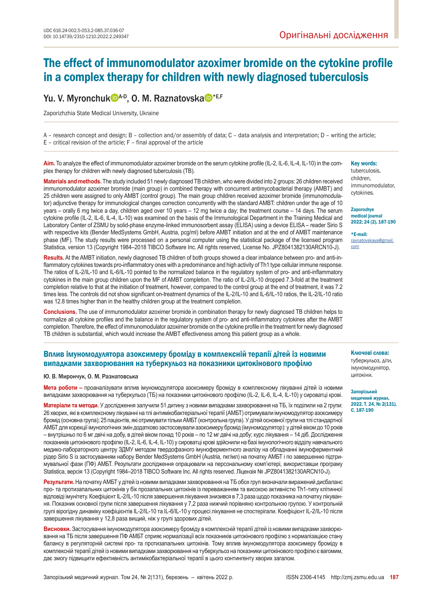# The effect of immunomodulator azoximer bromide on the cytokine profile in a complex therapy for children with newly diagnosed tuberculosis

## Yu. V. Myronchuk <sup>D[A](https://orcid.org/0000-0002-4608-2991)-D</sup>, O. M. R[a](https://orcid.org/0000-0003-2252-9063)znatovska<sup>D\*E,F</sup>

Zaporizhzhia State Medical University, Ukraine

#### A – research concept and design; B – collection and/or assembly of data; C – data analysis and interpretation; D – writing the article; E – critical revision of the article; F – final approval of the article

**Aim.** To analyze the effect of immunomodulator azoximer bromide on the serum cytokine profile (IL-2, IL-6, IL-4, IL-10) in the complex therapy for children with newly diagnosed tuberculosis (TB).

**Materials and methods.** The study included 51 newly diagnosed TB children, who were divided into 2 groups: 26 children received immunomodulator azoximer bromide (main group) in combined therapy with concurrent antimycobacterial therapy (AMBT) and 25 children were assigned to only AMBT (control group). The main group children received azoximer bromide (immunomodulator) adjunctive therapy for immunological changes correction concurrently with the standard AMBT: children under the age of 10 years – orally 6 mg twice a day, children aged over 10 years – 12 mg twice a day; the treatment course – 14 days. The serum cytokine profile (IL-2, IL-6, IL-4, IL-10) was examined on the basis of the Immunological Department in the Training Medical and Laboratory Center of ZSMU by solid-phase enzyme-linked immunosorbent assay (ELISA) using a device ELISA – reader Sirio S with respective kits (Bender MedSystems GmbH, Austria, pcg/ml) before AMBT initiation and at the end of AMBT maintenance phase (MF). The study results were processed on a personal computer using the statistical package of the licensed program Statistica, version 13 (Copyright 1984–2018 TIBCO Software Inc. All rights reserved, License No. JPZ8041382130ARCN10-J).

**Results.** At the AMBT initiation, newly diagnosed TB children of both groups showed a clear imbalance between pro- and anti-inflammatory cytokines towards pro-inflammatory ones with a predominance and high activity of Th1 type cellular immune response. The ratios of IL-2/IL-10 and IL-6/IL-10 pointed to the normalized balance in the regulatory system of pro- and anti-inflammatory cytokines in the main group children upon the MF of AMBT completion. The ratio of IL-2/IL-10 dropped 7.3-fold at the treatment completion relative to that at the initiation of treatment, however, compared to the control group at the end of treatment, it was 7.2 times less. The controls did not show significant on-treatment dynamics of the IL-2/IL-10 and IL-6/IL-10 ratios, the IL-2/IL-10 ratio was 12.8 times higher than in the healthy children group at the treatment completion.

**Conclusions.** The use of immunomodulator azoximer bromide in combination therapy for newly diagnosed TB children helps to normalize all cytokine profiles and the balance in the regulatory system of pro- and anti-inflammatory cytokines after the AMBT completion. Therefore, the effect of immunomodulator azoximer bromide on the cytokine profile in the treatment for newly diagnosed TB children is substantial, which would increase the AMBT effectiveness among this patient group as a whole.

## Вплив імуномодулятора азоксимеру броміду в комплексній терапії дітей із новими випадками захворювання на туберкульоз на показники цитокінового профілю

#### Ю. В. Мирончук, О. М. Разнатовська

**Мета роботи –** проаналізувати вплив імуномодулятора азоксимеру броміду в комплексному лікуванні дітей із новими випадками захворювання на туберкульоз (ТБ) на показники цитокінового профілю (IL-2, IL-6, IL-4, IL-10) у сироватці крові.

**Матеріали та методи.** У дослідження залучили 51 дитину з новими випадками захворювання на ТБ, їх поділили на 2 групи: 26 хворих, які в комплексному лікуванні на тлі антимікобактеріальної терапії (АМБТ) отримували імуномодулятор азоксимеру бромід (основна група); 25 пацієнтів, які отримувати тільки АМБТ (контрольна група). У дітей основної групи на тлі стандартної АМБТ для корекції імунологічних змін додатково застосовували азоксимеру бромід (імуномодулятор): у дітей віком до 10 років – внутрішньо по 6 мг двічі на добу, в дітей віком понад 10 років – по 12 мг двічі на добу; курс лікування – 14 діб. Дослідження показників цитокінового профілю (IL-2, IL-6, IL-4, IL-10) у сироватці крові здійснили на базі імунологічного відділу навчального медико-лабораторного центру ЗДМУ методом твердофазного імуноферментного аналізу на обладнанні імуноферментний рідер Sirio S із застосуванням набору Bender MedSystems GmbH (Austria, пкг/мл) на початку АМБТ і по завершенню підтримувальної фази (ПФ) АМБТ. Результати дослідження опрацювали на персональному комп'ютері, використавши програму Statistica, версія 13 (Copyright 1984–2018 TIBCO Software Inc. All rights reserved. Ліцензія № JPZ8041382130ARCN10-J).

**Результати.** На початку АМБТ у дітей із новими випадками захворювання на ТБ обох груп визначали виражений дисбаланс про- та протизапальних цитокінів у бік прозапальних цитокінів із переважанням та високою активністю Тh1-типу клітинної відповіді імунітету. Коефіцієнт IL-2/IL-10 після завершення лікування знизився в 7,3 раза щодо показника на початку лікування. Показник основної групи після завершення лікування у 7,2 раза нижчий порівняно контрольною групою. У контрольній групі вірогідну динаміку коефіцієнтів IL-2/IL-10 та IL-6/IL-10 у процесі лікування не спостерігали. Коефіцієнт IL-2/IL-10 після завершення лікування у 12,8 раза вищий, ніж у групі здорових дітей.

**Висновки.** Застосування імуномодулятора азоксимеру броміду в комплексній терапії дітей із новими випадками захворювання на ТБ після завершення ПФ АМБТ сприяє нормалізації всіх показників цитокінового профілю з нормалізацією стану балансу в регуляторній системі про- та протизапальних цитокінів. Тому вплив імуномодулятора азоксимеру броміду в комплексній терапії дітей із новими випадками захворювання на туберкульоз на показники цитокінового профілю є вагомим, дає змогу підвищити ефективність антимікобактеріальної терапії в цього контингенту хворих загалом.

## Key words:

tuberculosis, children, immunomodulator, cytokines.

#### **Zanorozhye** medical journal 2022; 24 (2), 187-190

\*E-mail: [raxnatovskaya@gmail.](mailto:raxnatovskaya%40gmail.com?subject=) [com](mailto:raxnatovskaya%40gmail.com?subject=)

### Ключові слова:

туберкульоз, діти, імуномодулятор, цитокіни.

#### Запорізький медичний журнал. 2022. Т. 24, № 2(131). С. 187-190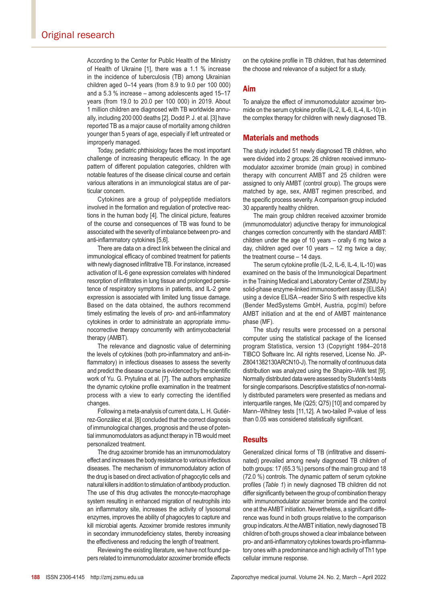According to the Center for Public Health of the Ministry of Health of Ukraine [1], there was a 1.1 % increase in the incidence of tuberculosis (TB) among Ukrainian children aged 0–14 years (from 8.9 to 9.0 per 100 000) and a 5.3 % increase – among adolescents aged 15–17 years (from 19.0 to 20.0 per 100 000) in 2019. About 1 million children are diagnosed with TB worldwide annually, including 200 000 deaths [2]. Dodd P. J. et al. [3] have reported TB as a major cause of mortality among children younger than 5 years of age, especially if left untreated or improperly managed.

Today, pediatric phthisiology faces the most important challenge of increasing therapeutic efficacy. In the age pattern of different population categories, children with notable features of the disease clinical course and certain various alterations in an immunological status are of particular concern.

Cytokines are a group of polypeptide mediators involved in the formation and regulation of protective reactions in the human body [4]. The clinical picture, features of the course and consequences of TB was found to be associated with the severity of imbalance between pro- and anti-inflammatory cytokines [5,6].

There are data on a direct link between the clinical and immunological efficacy of combined treatment for patients with newly diagnosed infiltrative TB. For instance, increased activation of IL-6 gene expression correlates with hindered resorption of infiltrates in lung tissue and prolonged persistence of respiratory symptoms in patients, and IL-2 gene expression is associated with limited lung tissue damage. Based on the data obtained, the authors recommend timely estimating the levels of pro- and anti-inflammatory cytokines in order to administrate an appropriate immunocorrective therapy concurrently with antimycobacterial therapy (AMBT).

The relevance and diagnostic value of determining the levels of cytokines (both pro-inflammatory and anti-inflammatory) in infectious diseases to assess the severity and predict the disease course is evidenced by the scientific work of Yu. G. Prytulina et al. [7]. The authors emphasize the dynamic cytokine profile examination in the treatment process with a view to early correcting the identified changes.

Following a meta-analysis of current data, L. H. Gutiérrez-González et al. [8] concluded that the correct diagnosis of immunological changes, prognosis and the use of potential immunomodulators as adjunct therapy in TB would meet personalized treatment.

The drug azoximer bromide has an immunomodulatory effect and increases the body resistance to various infectious diseases. The mechanism of immunomodulatory action of the drug is based on direct activation of phagocytic cells and natural killers in addition to stimulation of antibody production. The use of this drug activates the monocyte-macrophage system resulting in enhanced migration of neutrophils into an inflammatory site, increases the activity of lysosomal enzymes, improves the ability of phagocytes to capture and kill microbial agents. Azoximer bromide restores immunity in secondary immunodeficiency states, thereby increasing the effectiveness and reducing the length of treatment.

Reviewing the existing literature, we have not found papers related to immunomodulator azoximer bromide effects

on the cytokine profile in TB children, that has determined the choose and relevance of a subject for a study.

## Aim

To analyze the effect of immunomodulator azoximer bromide on the serum cytokine profile (IL-2, IL-6, IL-4, IL-10) in the complex therapy for children with newly diagnosed TB.

## Materials and methods

The study included 51 newly diagnosed TB children, who were divided into 2 groups: 26 children received immunomodulator azoximer bromide (main group) in combined therapy with concurrent AMBT and 25 children were assigned to only AMBT (control group). The groups were matched by age, sex, AMBT regimen prescribed, and the specific process severity. A comparison group included 30 apparently healthy children.

The main group children received azoximer bromide (immunomodulator) adjunctive therapy for immunological changes correction concurrently with the standard AMBT: children under the age of 10 years – orally 6 mg twice a day, children aged over 10 years – 12 mg twice a day; the treatment course – 14 days.

The serum cytokine profile (IL-2, IL-6, IL-4, IL-10) was examined on the basis of the Immunological Department in the Training Medical and Laboratory Center of ZSMU by solid-phase enzyme-linked immunosorbent assay (ELISA) using a device ELISA –reader Sirio S with respective kits (Bender MedSystems GmbH, Austria, pcg/ml) before AMBT initiation and at the end of AMBT maintenance phase (MF).

The study results were processed on a personal computer using the statistical package of the licensed program Statistica, version 13 (Copyright 1984–2018 TIBCO Software Inc. All rights reserved, License No. JP-Z8041382130ARCN10-J). The normality of continuous data distribution was analyzed using the Shapiro–Wilk test [9]. Normally distributed data were assessed by Student's t-tests for single comparisons. Descriptive statistics of non-normally distributed parameters were presented as medians and interquartile ranges, Me (Q25; Q75) [10] and compared by Mann–Whitney tests [11,12]. A two-tailed P-value of less than 0.05 was considered statistically significant.

## **Results**

Generalized clinical forms of TB (infiltrative and disseminated) prevailed among newly diagnosed TB children of both groups: 17 (65.3 %) persons of the main group and 18 (72.0 %) controls. The dynamic pattern of serum cytokine profiles (*Table 1*) in newly diagnosed TB children did not differ significantly between the group of combination therapy with immunomodulator azoximer bromide and the control one at theAMBT initiation. Nevertheless, a significant difference was found in both groups relative to the comparison group indicators. At theAMBT initiation, newly diagnosed TB children of both groups showed a clear imbalance between pro- and anti-inflammatory cytokines towards pro-inflammatory ones with a predominance and high activity of Th1 type cellular immune response.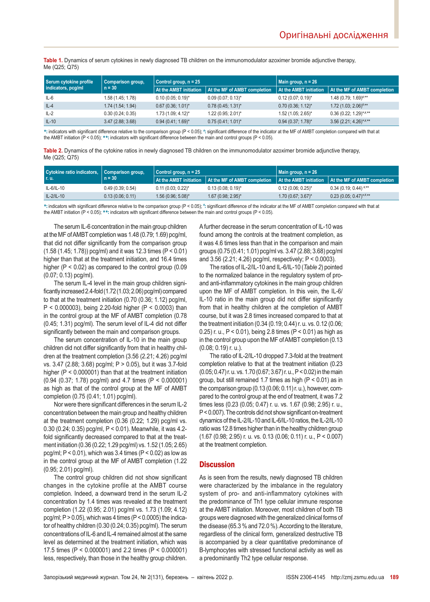**Table 1.** Dynamics of serum cytokines in newly diagnosed TB children on the immunomodulator azoximer bromide adjunctive therapy, Me (Q25; Q75)

| Serum cytokine profile<br>indicators, pcg/ml | Comparison group,<br>$n = 30$ | Control group, $n = 25$ |                              | Main group, $n = 26$   |                                    |
|----------------------------------------------|-------------------------------|-------------------------|------------------------------|------------------------|------------------------------------|
|                                              |                               | At the AMBT initiation  | At the MF of AMBT completion | At the AMBT initiation | At the MF of AMBT completion       |
| IL-6                                         | 1.58 (1.45; 1.78)             | $0.10(0.05; 0.19)^{*}$  | $0.09(0.07; 0.13)^{*}$       | $0.12(0.07; 0.19)^*$   | $1.48(0.79; 1.69)$ #**             |
| $IL-4$                                       | 1.74 (1.54; 1.94)             | $0.67(0.36; 1.01)^*$    | $0.78(0.45; 1.31)^*$         | $0.70(0.36; 1.12)^{*}$ | $1.72$ (1.03; 2.06) <sup>#**</sup> |
| $IL-2$                                       | 0.30(0.24; 0.35)              | $1.73(1.09; 4.12)^{*}$  | $1.22(0.95; 2.01)^{*}$       | $1.52$ (1.05; 2.65)*   | $0.36(0.22; 1.29)$ *#**            |
| $IL-10$                                      | 3.47(2.88; 3.68)              | $0.94(0.41; 1.69)^{*}$  | $0.75(0.41; 1.01)^*$         | $0.94(0.37; 1.78)^*$   | $3.56$ (2.21; 4.26)*#**            |

\*: indicators with significant difference relative to the comparison group (P < 0.05); #: significant difference of the indicator at the MF of AMBT completion compared with that at the AMBT initiation (P < 0.05); \*\*: indicators with significant difference between the main and control groups (P < 0.05).

**Table 2.** Dynamics of the cytokine ratios in newly diagnosed TB children on the immunomodulator azoximer bromide adjunctive therapy, Me (Q25; Q75)

| Cytokine ratio indicators, Comparison group,<br><b>r.</b> u. | $n = 30$         | Control group, $n = 25$ |                                                       | $\blacksquare$ Main group, n = 26 |                                                                             |
|--------------------------------------------------------------|------------------|-------------------------|-------------------------------------------------------|-----------------------------------|-----------------------------------------------------------------------------|
|                                                              |                  |                         | At the AMBT initiation   At the MF of AMBT completion |                                   | $\parallel$ At the AMBT initiation $\parallel$ At the MF of AMBT completion |
| IL-6/IL-10                                                   | 0.49(0.39; 0.54) | $0.11$ (0.03; 0.22)*    | $0.13(0.08; 0.19)^{*}$                                | $0.12(0.06; 0.25)^{*}$            | $0.34$ (0.19; 0.44) $\#$ **                                                 |
| $IL-2/IL-10$                                                 | 0.13(0.06; 0.11) | $1.56(0.96:5.08)$ *     | $1.67$ (0.98; 2.95)*                                  | $1.70(0.67:3.67)^*$               | $0.23$ (0.05; 0.47)*#**                                                     |

\*: indicators with significant difference relative to the comparison group (P < 0.05); #: significant difference of the indicator at the MF of AMBT completion compared with that at the AMBT initiation (P < 0.05); \*\*: indicators with significant difference between the main and control groups (P < 0.05).

The serum IL-6 concentration in the main group children at the MF of AMBT completion was 1.48 (0.79; 1.69) pcg/ml, that did not differ significantly from the comparison group (1.58 (1.45; 1.78)) pcg/ml) and it was 12.3 times (P < 0.01) higher than that at the treatment initiation, and 16.4 times higher (P < 0.02) as compared to the control group (0.09 (0.07; 0.13) pcg/ml).

The serum IL-4 level in the main group children significantly increased 2.4-fold (1.72 (1.03; 2.06) pcg/ml) compared to that at the treatment initiation (0.70 (0.36; 1.12) pcg/ml, P < 0.000003), being 2.20-fold higher (P < 0.0003) than in the control group at the MF of AMBT completion (0.78 (0.45; 1.31) pcg/ml). The serum level of IL-4 did not differ significantly between the main and comparison groups.

The serum concentration of IL-10 in the main group children did not differ significantly from that in healthy children at the treatment completion (3.56 (2.21; 4.26) pcg/ml vs. 3.47 (2.88; 3.68) pcg/ml; P > 0.05), but it was 3.7-fold higher (P < 0.000001) than that at the treatment initiation (0.94 (0.37; 1.78) pcg/ml) and 4.7 times (P < 0.000001) as high as that of the control group at the MF of AMBT completion (0.75 (0.41; 1.01) pcg/ml).

Nor were there significant differences in the serum IL-2 concentration between the main group and healthy children at the treatment completion (0.36 (0.22; 1.29) pcg/ml vs. 0.30 (0.24; 0.35) pcg/ml, P < 0.01). Meanwhile, it was 4.2 fold significantly decreased compared to that at the treatment initiation (0.36 (0.22; 1.29 pcg/ml) vs. 1.52 (1.05; 2.65) pcg/ml;  $P < 0.01$ ), which was 3.4 times ( $P < 0.02$ ) as low as in the control group at the MF of AMBT completion (1.22 (0.95; 2.01) pcg/ml).

The control group children did not show significant changes in the cytokine profile at the AMBT course completion. Indeed, a downward trend in the serum IL-2 concentration by 1.4 times was revealed at the treatment completion (1.22 (0.95; 2.01) pcg/ml vs. 1.73 (1.09; 4.12) pcg/ml;  $P > 0.05$ ), which was 4 times ( $P < 0.0005$ ) the indicator of healthy children (0.30 (0.24; 0.35) pcg/ml). The serum concentrations of IL-6 and IL-4 remained almost at the same level as determined at the treatment initiation, which was 17.5 times (P < 0.000001) and 2.2 times (P < 0.000001) less, respectively, than those in the healthy group children.

A further decrease in the serum concentration of IL-10 was found among the controls at the treatment completion, as it was 4.6 times less than that in the comparison and main groups (0.75 (0.41; 1.01) pcg/ml vs. 3.47 (2.88; 3.68) pcg/ml and 3.56 (2.21; 4.26) pcg/ml, respectively; P < 0.0003).

The ratios of IL-2/IL-10 and IL-6/IL-10 (*Table 2*) pointed to the normalized balance in the regulatory system of proand anti-inflammatory cytokines in the main group children upon the MF of AMBT completion. In this vein, the IL-6/ IL-10 ratio in the main group did not differ significantly from that in healthy children at the completion of AMBT course, but it was 2.8 times increased compared to that at the treatment initiation (0.34 (0.19; 0.44) r. u. vs. 0.12 (0.06; 0.25) r. u., P < 0.01), being 2.8 times (P < 0.01) as high as in the control group upon the MF of AMBT completion (0.13 (0.08; 0.19) r. u.).

The ratio of IL-2/IL-10 dropped 7.3-fold at the treatment completion relative to that at the treatment initiation (0.23 (0.05; 0.47) r. u. vs. 1.70 (0.67; 3.67) r. u., P< 0.02) in the main group, but still remained 1.7 times as high (P < 0.01) as in the comparison group (0.13 (0.06; 0.11)r. u.), however, compared to the control group at the end of treatment, it was 7.2 times less (0.23 (0.05; 0.47) r. u. vs. 1.67 (0.98; 2.95) r. u., P< 0.007). The controls did not show significant on-treatment dynamics of the IL-2/IL-10 and IL-6/IL-10 ratios, the IL-2/IL-10 ratio was 12.8 times higher than in the healthy children group (1.67 (0.98; 2.95) r. u. vs. 0.13 (0.06; 0.11) r. u., P < 0.007) at the treatment completion.

## **Discussion**

As is seen from the results, newly diagnosed TB children were characterized by the imbalance in the regulatory system of pro- and anti-inflammatory cytokines with the predominance of Th1 type cellular immune response at the AMBT initiation. Moreover, most children of both TB groups were diagnosed with the generalized clinical forms of the disease (65.3 % and 72.0 %). According to the literature, regardless of the clinical form, generalized destructive TB is accompanied by a clear quantitative predominance of B-lymphocytes with stressed functional activity as well as a predominantly Th2 type cellular response.